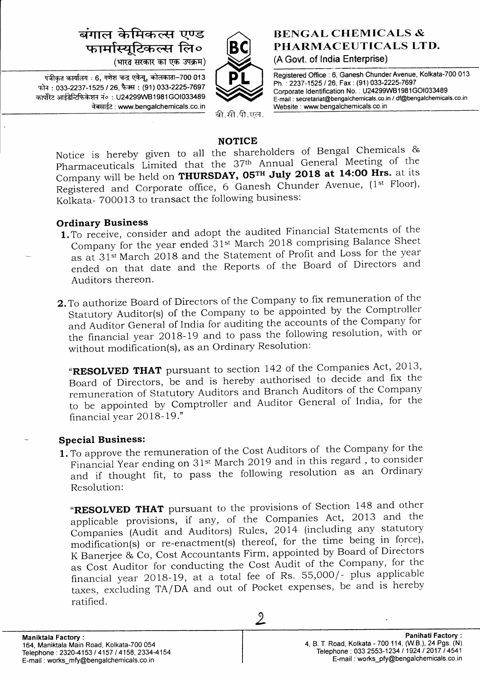# बंगाल केमिकल्स एण्ड फार्मास्यूटिकल्स लि०

(भारत सरकार का एक उपक्रम)

 $\vec{r}$ जीकत कार्यालय : 6, गणेश चन्द्र एवेन्यू, कोलकाता-700 013 फोन: 033-2237-1525 / 26, फैक्स: (91) 033-2225-7697 कार्पोरेट आईडेन्टिफिकेशन नं०: U24299WB1981GOI033489 वेबसाईट: www.bengalchemicals.co.in



बी.सी.पी.एल.

# **BENGAL CHEMICALS &** PHARMACEUTICALS LTD. (A Govt. of India Enterprise)

Registered Office : 6, Ganesh Chunder Avenue, Kolkata-700 013 Ph. : 2237-1525 / 26, Fax: (91) 033-2225-7697 Corporate ldentification No. . U24299W8'1981GO1033489 E-mail : secretariat@bengalchemicals.co.in i df@bengalchemicals.co.in Website : www. bengalchemicals.co. in

## NOTICE

Notice is hereby given to all the shareholders of Bengal chemicals & pharmaceuticals Limited that the 37th Annual General Meeting of the Company will be held on THURSDAY, 05TH July 2018 at 14:00 Hrs. at its Registered and Corporate office, 6 Ganesh Chunder Avenue, (1st Floor), Kolkata- 700013 to transact the following business:

## Ordinary Business

- 1.To receive, consider and adopt the audited Financial Statements of the Company for the year ended 31<sup>st</sup> March 2018 comprising Balance Sheet as at 31<sup>st</sup> March 2018 and the Statement of Profit and Loss for the year ended on that date and the Reports of the Board of Directors and Auditors thereon.
- 2. To authorize Board of Directors of the Company to fix remuneration of the Statutory Auditor(s) of the company to be appointed by the comptroller and Auditor General of India for auditing the accounts of the Company for the financial year 2Ol8-19 and to pass the following resolution, with or without modification(s), as an Ordinary Resolution:

"RESOLVED THAT pursuant to section 142 of the Companies Act, 2013, Board of Directors, be and is hereby authorised io decide and fix the remuneration of Statutory Auditors and Branch Auditors of the Company to be appointed by Comptroller and Auditor General of India, for the financial year 2018-19."

# Special Business:

**1.** To approve the remuneration of the Cost Auditors of the Company for the Financial Year ending on 31<sup>st</sup> March 2019 and in this regard, to consider Financial real ending on 51 March 2019 and the low-Resolution:

"RESOLVED THAT pursuant to the provisions of Section 148 and other applicable provisions, if any, of the Companies Act, 2013 and the companies (Audit and Auditors) Rules, 2014 (including any statutory modification(s) or re-enactment(s) thereof, for the time being in force), K Banerjee & Co, Cost Accountants Firm, appointed by Board of Directors as Cost Auditor for conducting the Cost Audit of the Company, for the financial year 2ol3-19 , dt a iotal fee of Rs. 55,000/- plus applicable taxes, excluding TA/DA and out of pocket expenses, be and is hereby ratified.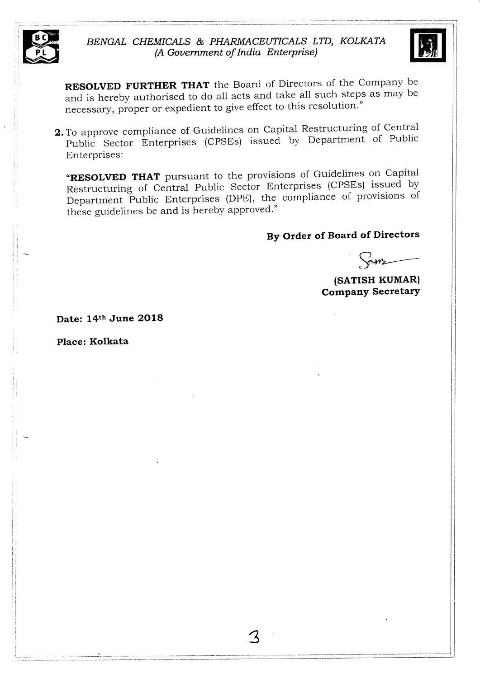



RESOLVED FURTHER THAT the Board of Directors of the Company be and is hereby authorised to do all acts and take all such steps as may be necessary, proper or expedient to give effect to this resolution."

Z.To approve compliance of Guidelines on Capital Restructuring of Central public Sector Enterprises (cpsEs) issued by Department of Public Enterprises:

**RESOLVED THAT** pursuant to the provisions of Guidelines on Capital Restructuring of Central Public Sector Enterprises (CPSEs) issued by Restructuring of Central Table Sector Line compliance of provisions of these guidelines be and is hereby approved.'

# By Order of Board of Directors

Came

(SATISH KUMAR) **Company Secretary** 

Date: 14th June 2018

Place: Kolkata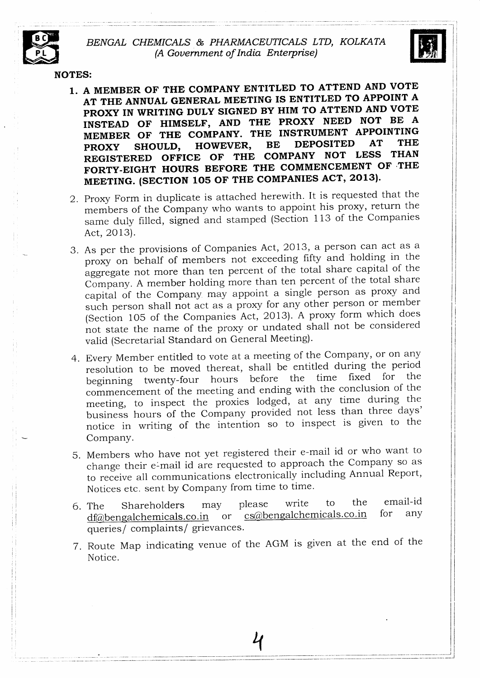#### BENGAL CHEMICALS & PHARMACEUTICALS LTD, KOLKATA (A Gouernment of India Enterprise)



-1 i

I

NOTES:

- 1. A MEMBER OF THE COMPANY ENTITLED TO ATTEND AND VOTE AT THE ANNUAL GENERAL MEETING IS ENTITLED TO APPOINT A PROXY IN WRITING DULY SIGNED BY HIM TO ATTEND AND VOTE INSTEAD OF HIMSELF, AND THE PROXY NEED NOT BE <sup>A</sup> INCLUIT OF THE COMPANY. THE INSTRUMENT APPOINTING MEMBER OF THE COMPANT. THE INSTRUMENTS IS THE<br>PROXY SHOULD, HOWEVER, BE DEPOSITED AT THE REGISTERED OFFICE OF THE COMPANY NOT LESS THAN REGISTEREE STITUE FORE THE COMMENCEMENT OF THE MEETING. (SECTION 105 OF THE COMPANIES ACT, 2013).
- 2. Proxy Form in duplicate is attached herewith. It is requested that the members of the Company who wants to appoint his proxy, return the same duly filled, signed and stamped (Section <sup>1</sup> 13 of the ComPanies Act, 2Ol3).
- 3. As per the provisions of Companies Act, 2013, a person can act as <sup>a</sup> proxy on behalf of members not exceeding fifty and holding in the aggregate not more than ten percent of the total share capital of the Company. A member holding more than ten percent of the total share capital of the Company may appoint a single person as proxy and such person shall not act as a proxy for any other person or member (Section 105 of the Companies Act,2013). A proxy form which does not state the name of the proxy or undated shall not be considered valid (secretarial standard on General Meeting).
- 4. Every Member entitled to vote at a meeting of the Company, or on any resolution to be moved thereat, shall be entitled during the period beginning twenty-four hours before the time fixed for commencement of the meeting and ending with the conclusion of the meeting, to inspect the proxies lodged, at any time during the business hours of the Company provided not less than three days' notice in writing of the intention so to inspect is given to the Company.
- Members who have not yet registered their e-mail id or who want to 5.change their e-mail id are requested to approach the Company so as to receive all communications electronically including Annual Report, Notices etc. sent by company from time to time.
- 6. The Shareholders may please write to the dfabengalchemicals.co.in or  $cs@bengalchemicals.co.in$ cs@bengalchemicals.co.in queries/ complaints/ grievances. email-id for any
- <sup>T</sup>. Route Map indicating venue of the AGM is given at the end of the Notice.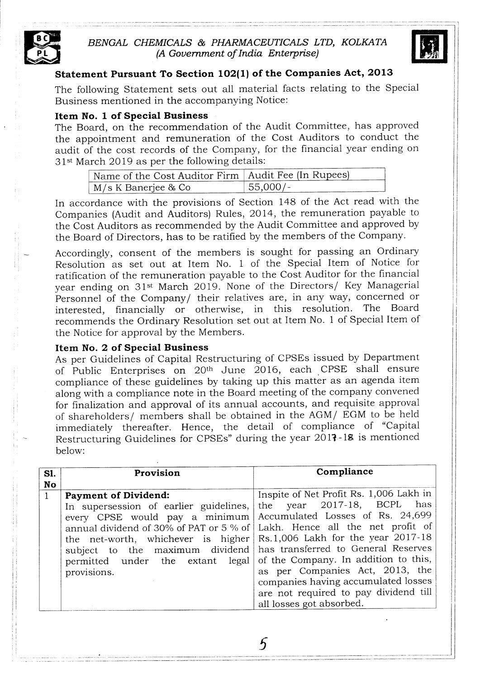

# BENGAL CHEMICALS & PHARMACEUTICALS LTD, KOLKATA (A Gouernment of India Enterprise)



#### Statement Pursuant To Section 102(1) of the Companies Act, 2013

The following Statement sets out all material facts relating to the Special Business mentioned in the accompanying Notice:

#### Item No. 1 of Special Business

The Board, on the recommendation of the Audit Committee, has approved the appointment and remuneration of the Cost Auditors to conduct the audit of the cost records of the Company, for the financial year ending on 31<sup>st</sup> March 2019 as per the following details:

| Name of the Cost Auditor Firm   Audit Fee (In Rupees) |            |
|-------------------------------------------------------|------------|
| M/s K Banerjee & Co                                   | ' 55,000/- |

In accordance with the provisions of Section 148 of the Act read with the Companies (Audit and Auditors) Rules, 2014, the remuneration payable to the Cost Auditors as recommended by the Audit Committee and approved by the Board of Directors, has to be ratified by the members of the Company.

Accordingly, consent of the members is sought for passing an Ordinary Resolution as set out at Item No. 1 of the Special Item of Notice for ratification of the remuneration payable to the Cost Auditor for the financial year ending on 31<sup>st</sup> March 2019. None of the Directors/ Key Managerial Personnel of the Company/ their relatives are, in any way, concerned or interested, financially or otherwise, in this resolution. The Board financially or otherwise, in this resolution. recommends the Ordinary Resolution set out at Item No. 1 of Special Item of the Notice for approval by the Members.

#### Item No. 2 of Special Business

As per Guidelines of Capital Restructuring of CPSEs issued by Department of Public Enterprises on 20<sup>th</sup> June 2016, each CPSE shall ensure compliance of these guidelines by taking up this matter as an agenda item along with a compliance note in the Board meeting of the company convened for finalization and approval of its annual accounts, and requisite approval of sharehglders/ members shall be obtained in the AGM/ BGM to be held immediately thereafter. Hence, the detail of compliance of "Capital Restructuring Guidelines for CPSEs" during the year 2017-18 is mentioned below:

| S1.<br>No | Provision                                                                                                                                                                                                                                                                                                                                                                                                                  | Compliance                                                                                                                                                                                                                                                      |
|-----------|----------------------------------------------------------------------------------------------------------------------------------------------------------------------------------------------------------------------------------------------------------------------------------------------------------------------------------------------------------------------------------------------------------------------------|-----------------------------------------------------------------------------------------------------------------------------------------------------------------------------------------------------------------------------------------------------------------|
|           | <b>Payment of Dividend:</b><br>In supersession of earlier guidelines,<br>every CPSE would pay a minimum Accumulated Losses of Rs. 24,699<br>annual dividend of 30% of PAT or 5 % of   Lakh. Hence all the net profit of<br>the net-worth, whichever is higher Rs.1,006 Lakh for the year 2017-18<br>subject to the maximum dividend has transferred to General Reserves<br>permitted under the extant legal<br>provisions. | Inspite of Net Profit Rs. 1,006 Lakh in<br>the year 2017-18, BCPL<br>has<br>of the Company. In addition to this,<br>as per Companies Act, 2013, the<br>companies having accumulated losses<br>are not required to pay dividend till<br>all losses got absorbed. |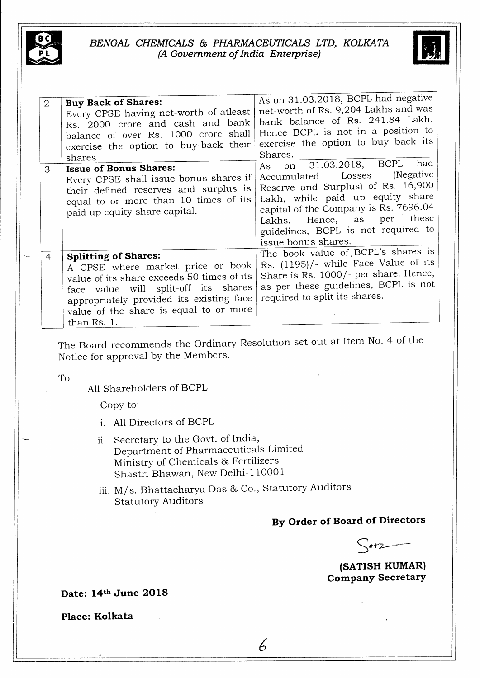



| 2 | <b>Buy Back of Shares:</b><br>Every CPSE having net-worth of atleast<br>Rs. 2000 crore and cash and bank<br>balance of over Rs. 1000 crore shall<br>exercise the option to buy-back their<br>shares.                                                        | As on 31.03.2018, BCPL had negative<br>net-worth of Rs. 9,204 Lakhs and was<br>bank balance of Rs. 241.84 Lakh.<br>Hence BCPL is not in a position to<br>exercise the option to buy back its<br>Shares.<br>had                                                                  |
|---|-------------------------------------------------------------------------------------------------------------------------------------------------------------------------------------------------------------------------------------------------------------|---------------------------------------------------------------------------------------------------------------------------------------------------------------------------------------------------------------------------------------------------------------------------------|
| 3 | <b>Issue of Bonus Shares:</b><br>Every CPSE shall issue bonus shares if<br>their defined reserves and surplus is<br>equal to or more than 10 times of its<br>paid up equity share capital.                                                                  | on 31.03.2018, BCPL<br>As<br>(Negative)<br>Accumulated Losses<br>Reserve and Surplus) of Rs. 16,900<br>Lakh, while paid up equity share<br>capital of the Company is Rs. 7696.04<br>these<br>Lakhs. Hence, as per<br>guidelines, BCPL is not required to<br>issue bonus shares. |
| 4 | <b>Splitting of Shares:</b><br>A CPSE where market price or book<br>value of its share exceeds 50 times of its<br>face value will split-off its shares<br>appropriately provided its existing face<br>value of the share is equal to or more<br>than Rs. 1. | The book value of BCPL's shares is<br>Rs. (1195)/- while Face Value of its<br>Share is Rs. 1000/- per share. Hence,<br>as per these guidelines, BCPL is not<br>required to split its shares.                                                                                    |

The Board recommends the ordinary Resolution set out at Item No. 4 of the Notice for approval by the Members.

To

A11 Shareholders of BCPL

Copy to:

- i. A11 Directors of BCPL
- ii. Secretary to the Govt. of India, Department of Pharmaceuticals Limited Ministry of Chemicals & Fertilizers Shastri Bhawan, New Delhi-110001
- iii. M/s. Bhattacharya Das & co., statutory Auditors Statutory Auditors

# By Order of Board of Directors

 $\sim$  at 2

(SATISH KUMAR) CompanY SecretarY

Date: 14th June 2O18

Place: Kolkata  $\begin{array}{c} \begin{array}{c} \begin{array}{c} \end{array} \end{array}$ 

6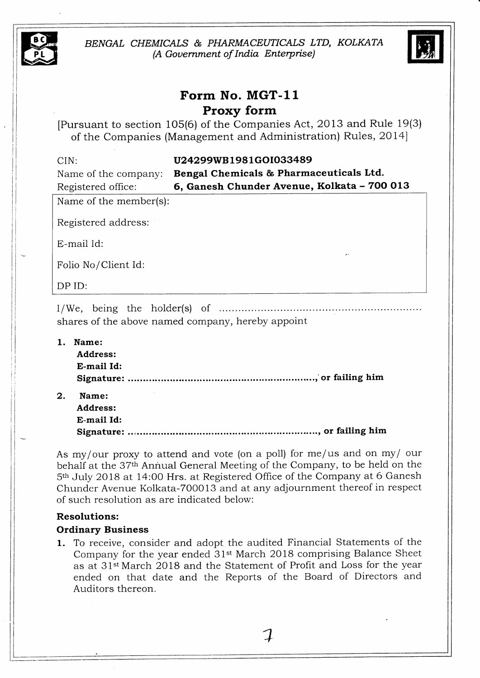

BENGAL CHEMICALS & PHARMACEUTICALS LTD, KOLKATA (A Gouernment of India Enterprise)



# Form No. MGT-II Proxy form

[Fursuant to section 105(6) of the Companies Act, 2OI3 and Rule 19(3) of the Companies (Management and Administration) Rules, 2014]

| CIN:<br>Name of the company: | U24299WB1981GOI033489<br>Bengal Chemicals & Pharmaceuticals Ltd. |
|------------------------------|------------------------------------------------------------------|
| Registered office:           | 6, Ganesh Chunder Avenue, Kolkata - 700 013                      |
| Name of the member(s):       |                                                                  |
| Registered address:          |                                                                  |
| E-mail Id:                   |                                                                  |
| Folio No/Client Id:          |                                                                  |
| DP ID:                       |                                                                  |
|                              |                                                                  |

shares of the above named company, hereby appoint

| 1. | Name:      |  |
|----|------------|--|
|    | Address:   |  |
|    | E-mail Id: |  |
|    |            |  |
| 2. | Name:      |  |

Address: E-mail Id: Signature: ..e.o..o...............oo..................................o....2 of failing him

As my/our proxy to attend and vote (on a poll) for me/us and on my/ our behalf at the 37<sup>th</sup> Annual General Meeting of the Company, to be held on the 5<sup>th</sup> July 2018 at 14:00 Hrs. at Registered Office of the Company at 6 Ganesh Chunder Avenue Kolkata-7OO013 and at any adjournment thereof in respect of such resolution as are indicated below:

#### Resolutions:

#### Ordinary Business

1. To receive, consider and adopt the audited Financial Statements of the Company for the year ended 3lst March 2Ol8 comprising Balance Sheet as at 31<sup>st</sup> March 2018 and the Statement of Profit and Loss for the year ended on that date and the Reports of the Board of Directors and Auditors thereon.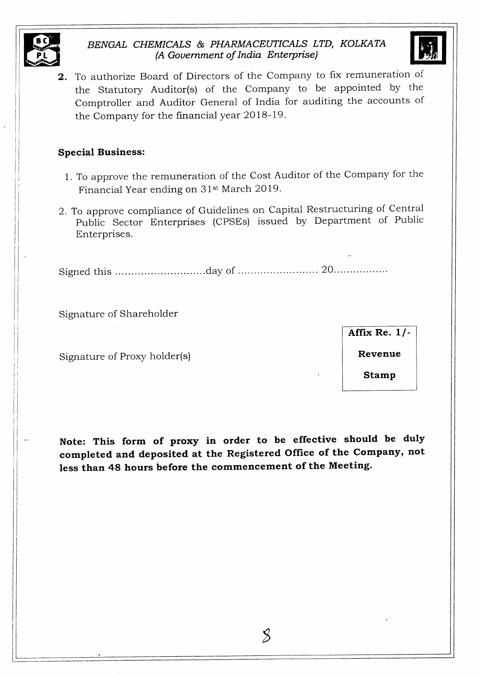

ti III  $\Box$ 

# BENGAL CHEMICALS & PHARMACEUTICALS LTD, KOLKATA (A Gouernment of India Bnterprise)



2. To authorize Board of Directors of the Company to fix remuneration of the Statutory Auditor(s) of the Company to be appointed by the Comptroller and Auditor General of India for auditing the accounts of the Company for the financial year 2018-19.

#### Special Business:

- 1. To approve the remuneration of the Cost Auditor of the Company for the Financial Year ending on 31<sup>st</sup> March 2019.
- 2. To approve compliance of Guidelines on Capital Restructuring of Central public Sector Enterprises (CPSEs) issued by Department of Public Enterprises.

Signed this ... .day of .. ..... <sup>20</sup>

Signature of Shareholder

Signature of Proxy holder(s)

Affix Re.  $1/-$ 

Revenue

Stamp

Note: This form of proxy in order to be effective should be duly completed and deposited at the Registered Office of the Company, not less than 48 hours before the commencement of the Meeting.